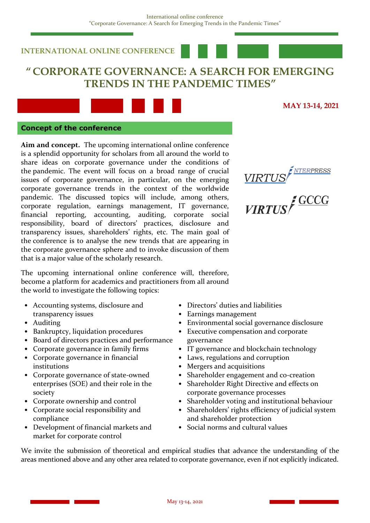# **INTERNATIONAL ONLINE CONFERENCE**

# **" CORPORATE GOVERNANCE: A SEARCH FOR EMERGING TRENDS IN THE PANDEMIC TIMES"**



# **MAY 13-14, 2021**

**NTERPRESS** 

**GCCG** 

#### **Concept of the conference**

**Aim and concept.** The upcoming international online conference is a splendid opportunity for scholars from all around the world to share ideas on corporate governance under the conditions of the pandemic. The event will focus on a broad range of crucial issues of corporate governance, in particular, on the emerging corporate governance trends in the context of the worldwide pandemic. The discussed topics will include, among others, corporate regulation, earnings management, IT governance, financial reporting, accounting, auditing, corporate social responsibility, board of directors' practices, disclosure and transparency issues, shareholders' rights, etc. The main goal of the conference is to analyse the new trends that are appearing in the corporate governance sphere and to invoke discussion of them that is a major value of the scholarly research.

The upcoming international online conference will, therefore, become a platform for academics and practitioners from all around the world to investigate the following topics:

- Accounting systems, disclosure and transparency issues
- Auditing
- Bankruptcy, liquidation procedures
- Board of directors practices and performance
- Corporate governance in family firms
- Corporate governance in financial institutions
- Corporate governance of state-owned enterprises (SOE) and their role in the society
- Corporate ownership and control
- Corporate social responsibility and compliance
- Development of financial markets and market for corporate control
- Directors' duties and liabilities
- Earnings management
- Environmental social governance disclosure

VIRTUS

**VIRTUS** 

- Executive compensation and corporate governance
- IT governance and blockchain technology
- Laws, regulations and corruption
- Mergers and acquisitions
- Shareholder engagement and co-creation
- Shareholder Right Directive and effects on corporate governance processes
- Shareholder voting and institutional behaviour
- Shareholders' rights efficiency of judicial system and shareholder protection
- Social norms and cultural values

We invite the submission of theoretical and empirical studies that advance the understanding of the areas mentioned above and any other area related to corporate governance, even if not explicitly indicated.